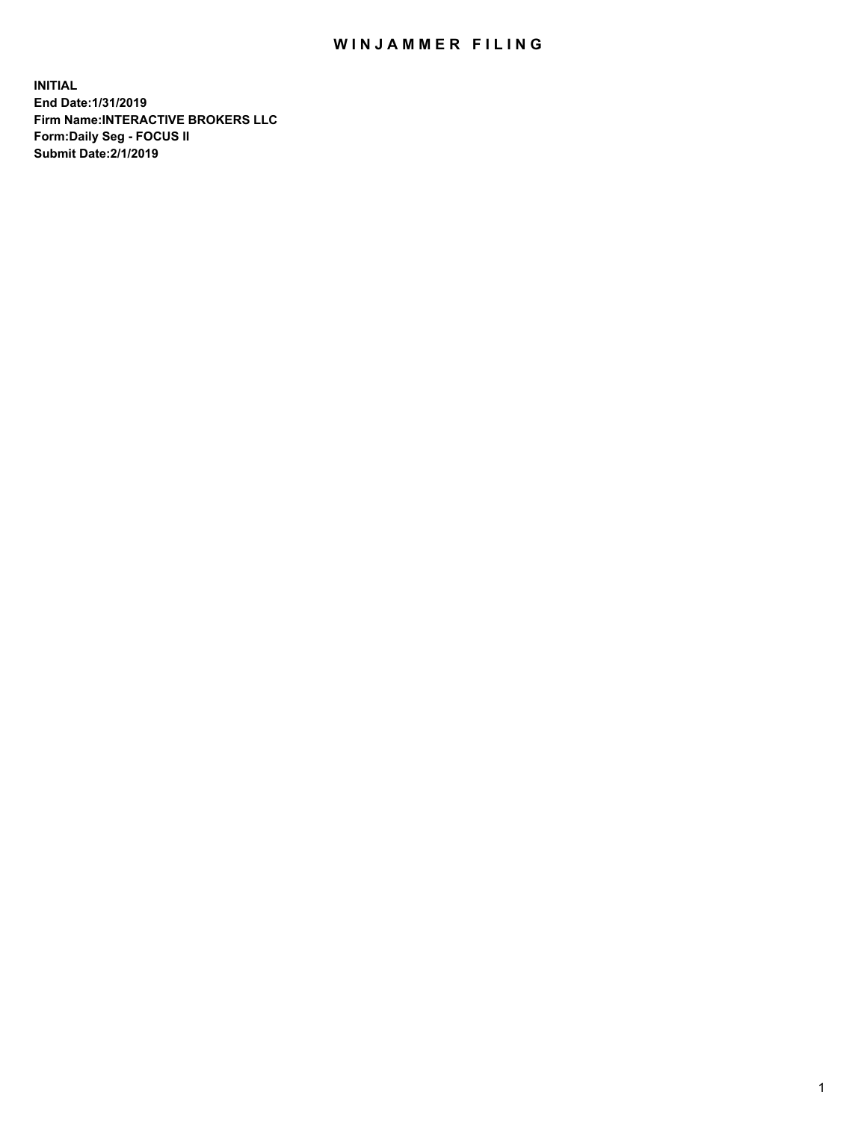## WIN JAMMER FILING

**INITIAL End Date:1/31/2019 Firm Name:INTERACTIVE BROKERS LLC Form:Daily Seg - FOCUS II Submit Date:2/1/2019**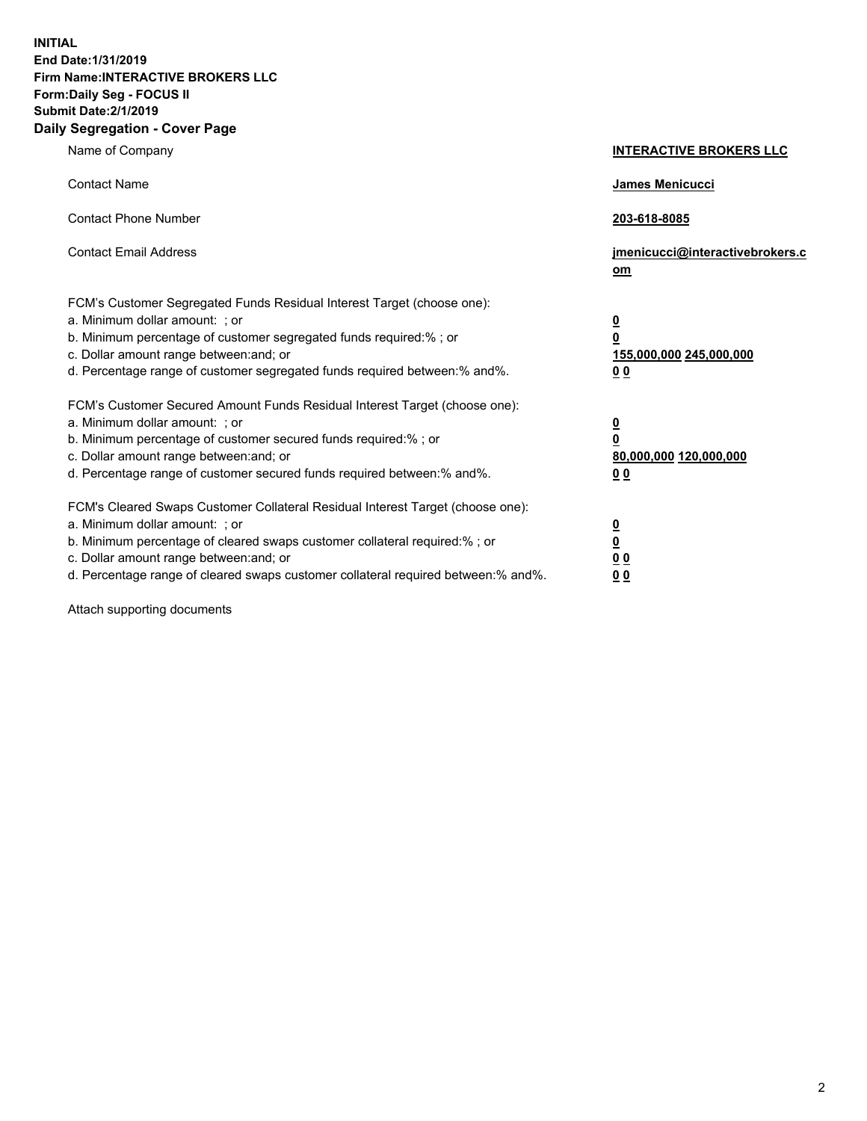**INITIAL End Date:1/31/2019 Firm Name:INTERACTIVE BROKERS LLC Form:Daily Seg - FOCUS II Submit Date:2/1/2019 Daily Segregation - Cover Page**

| Name of Company                                                                                                                                                                                                                                                                                                                | <b>INTERACTIVE BROKERS LLC</b>                                                                  |
|--------------------------------------------------------------------------------------------------------------------------------------------------------------------------------------------------------------------------------------------------------------------------------------------------------------------------------|-------------------------------------------------------------------------------------------------|
| <b>Contact Name</b>                                                                                                                                                                                                                                                                                                            | <b>James Menicucci</b>                                                                          |
| <b>Contact Phone Number</b>                                                                                                                                                                                                                                                                                                    | 203-618-8085                                                                                    |
| <b>Contact Email Address</b>                                                                                                                                                                                                                                                                                                   | jmenicucci@interactivebrokers.c<br>om                                                           |
| FCM's Customer Segregated Funds Residual Interest Target (choose one):<br>a. Minimum dollar amount: ; or<br>b. Minimum percentage of customer segregated funds required:% ; or<br>c. Dollar amount range between: and; or<br>d. Percentage range of customer segregated funds required between:% and%.                         | $\overline{\mathbf{0}}$<br>$\overline{\mathbf{0}}$<br>155,000,000 245,000,000<br>0 <sub>0</sub> |
| FCM's Customer Secured Amount Funds Residual Interest Target (choose one):<br>a. Minimum dollar amount: ; or<br>b. Minimum percentage of customer secured funds required:%; or<br>c. Dollar amount range between: and; or<br>d. Percentage range of customer secured funds required between:% and%.                            | $\overline{\mathbf{0}}$<br>$\mathbf 0$<br>80,000,000 120,000,000<br>0 <sub>0</sub>              |
| FCM's Cleared Swaps Customer Collateral Residual Interest Target (choose one):<br>a. Minimum dollar amount: ; or<br>b. Minimum percentage of cleared swaps customer collateral required:% ; or<br>c. Dollar amount range between: and; or<br>d. Percentage range of cleared swaps customer collateral required between:% and%. | $\overline{\mathbf{0}}$<br>$\underline{\mathbf{0}}$<br>0 <sub>0</sub><br>00                     |

Attach supporting documents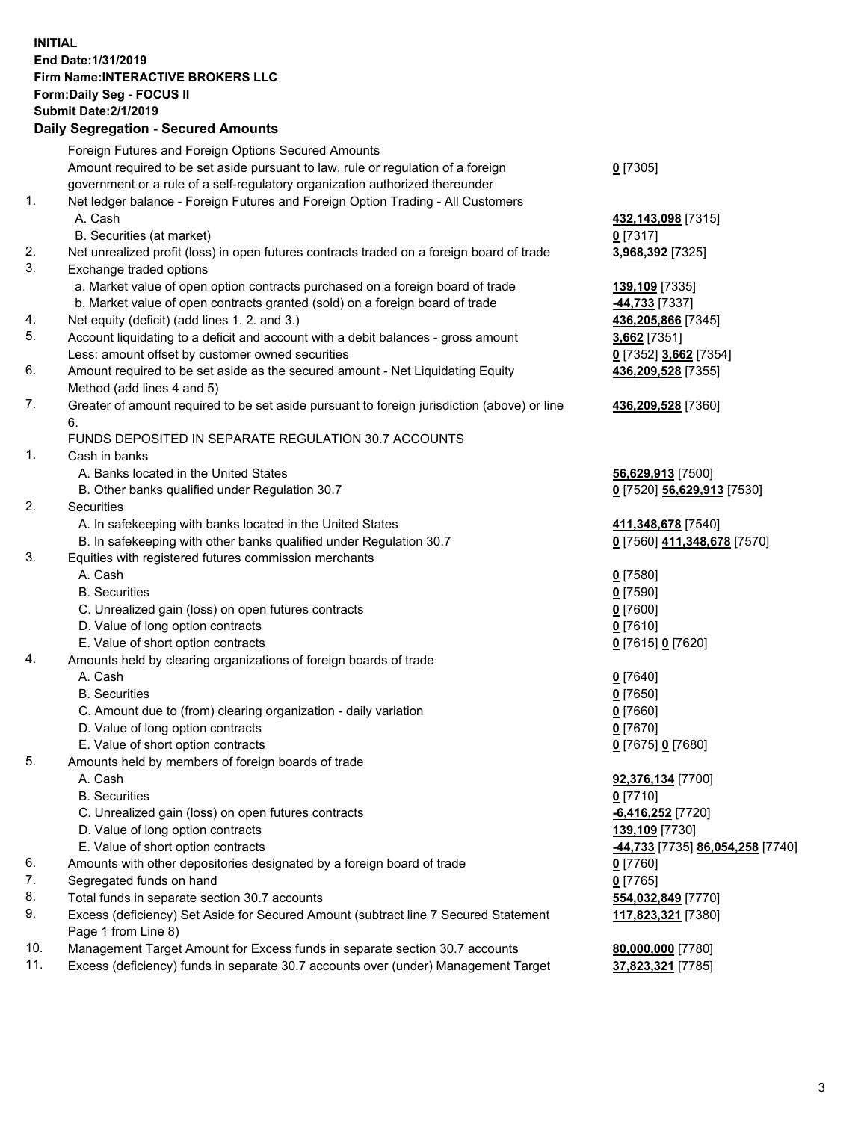## **INITIAL End Date:1/31/2019 Firm Name:INTERACTIVE BROKERS LLC Form:Daily Seg - FOCUS II Submit Date:2/1/2019 Daily Segregation - Secured Amounts**

|            | Foreign Futures and Foreign Options Secured Amounts                                         |                                                      |
|------------|---------------------------------------------------------------------------------------------|------------------------------------------------------|
|            | Amount required to be set aside pursuant to law, rule or regulation of a foreign            | $0$ [7305]                                           |
|            | government or a rule of a self-regulatory organization authorized thereunder                |                                                      |
| 1.         | Net ledger balance - Foreign Futures and Foreign Option Trading - All Customers             |                                                      |
|            | A. Cash                                                                                     | 432,143,098 [7315]                                   |
|            | B. Securities (at market)                                                                   | $0$ [7317]                                           |
| 2.         | Net unrealized profit (loss) in open futures contracts traded on a foreign board of trade   | 3,968,392 [7325]                                     |
| 3.         | Exchange traded options                                                                     |                                                      |
|            | a. Market value of open option contracts purchased on a foreign board of trade              | 139,109 [7335]                                       |
|            | b. Market value of open contracts granted (sold) on a foreign board of trade                | -44,733 [7337]                                       |
| 4.         | Net equity (deficit) (add lines 1. 2. and 3.)                                               | 436,205,866 [7345]                                   |
| 5.         | Account liquidating to a deficit and account with a debit balances - gross amount           | 3,662 [7351]                                         |
|            | Less: amount offset by customer owned securities                                            | 0 [7352] 3,662 [7354]                                |
| 6.         | Amount required to be set aside as the secured amount - Net Liquidating Equity              | 436,209,528 [7355]                                   |
|            | Method (add lines 4 and 5)                                                                  |                                                      |
| 7.         | Greater of amount required to be set aside pursuant to foreign jurisdiction (above) or line | 436,209,528 [7360]                                   |
|            | 6.                                                                                          |                                                      |
|            | FUNDS DEPOSITED IN SEPARATE REGULATION 30.7 ACCOUNTS                                        |                                                      |
| 1.         | Cash in banks                                                                               |                                                      |
|            | A. Banks located in the United States                                                       | 56,629,913 [7500]                                    |
|            | B. Other banks qualified under Regulation 30.7                                              | 0 [7520] 56,629,913 [7530]                           |
| 2.         | Securities                                                                                  |                                                      |
|            | A. In safekeeping with banks located in the United States                                   | 411,348,678 [7540]                                   |
|            | B. In safekeeping with other banks qualified under Regulation 30.7                          | 0 [7560] 411,348,678 [7570]                          |
| 3.         | Equities with registered futures commission merchants                                       |                                                      |
|            | A. Cash                                                                                     | $0$ [7580]                                           |
|            | <b>B.</b> Securities                                                                        | $0$ [7590]                                           |
|            | C. Unrealized gain (loss) on open futures contracts                                         | $0$ [7600]                                           |
|            | D. Value of long option contracts                                                           | $0$ [7610]                                           |
|            | E. Value of short option contracts                                                          | 0 [7615] 0 [7620]                                    |
| 4.         | Amounts held by clearing organizations of foreign boards of trade                           |                                                      |
|            | A. Cash                                                                                     | $0$ [7640]                                           |
|            | <b>B.</b> Securities                                                                        | $0$ [7650]                                           |
|            | C. Amount due to (from) clearing organization - daily variation                             | $0$ [7660]                                           |
|            | D. Value of long option contracts                                                           | $0$ [7670]                                           |
|            | E. Value of short option contracts                                                          | 0 [7675] 0 [7680]                                    |
| 5.         | Amounts held by members of foreign boards of trade                                          |                                                      |
|            | A. Cash                                                                                     | 92,376,134 [7700]                                    |
|            | <b>B.</b> Securities                                                                        | $0$ [7710]                                           |
|            | C. Unrealized gain (loss) on open futures contracts                                         | -6,416,252 <sup>[7720]</sup>                         |
|            | D. Value of long option contracts                                                           | 139,109 [7730]                                       |
|            | E. Value of short option contracts                                                          | <mark>-44,733</mark> [7735] <b>86,054,258</b> [7740] |
| 6.         | Amounts with other depositories designated by a foreign board of trade                      | $0$ [7760]                                           |
| 7.         | Segregated funds on hand                                                                    | $0$ [7765]                                           |
| 8.         | Total funds in separate section 30.7 accounts                                               | 554,032,849 [7770]                                   |
| 9.         | Excess (deficiency) Set Aside for Secured Amount (subtract line 7 Secured Statement         | 117,823,321 [7380]                                   |
|            | Page 1 from Line 8)                                                                         |                                                      |
| 10.<br>11. | Management Target Amount for Excess funds in separate section 30.7 accounts                 | 80,000,000 [7780]                                    |
|            | Excess (deficiency) funds in separate 30.7 accounts over (under) Management Target          | 37,823,321 [7785]                                    |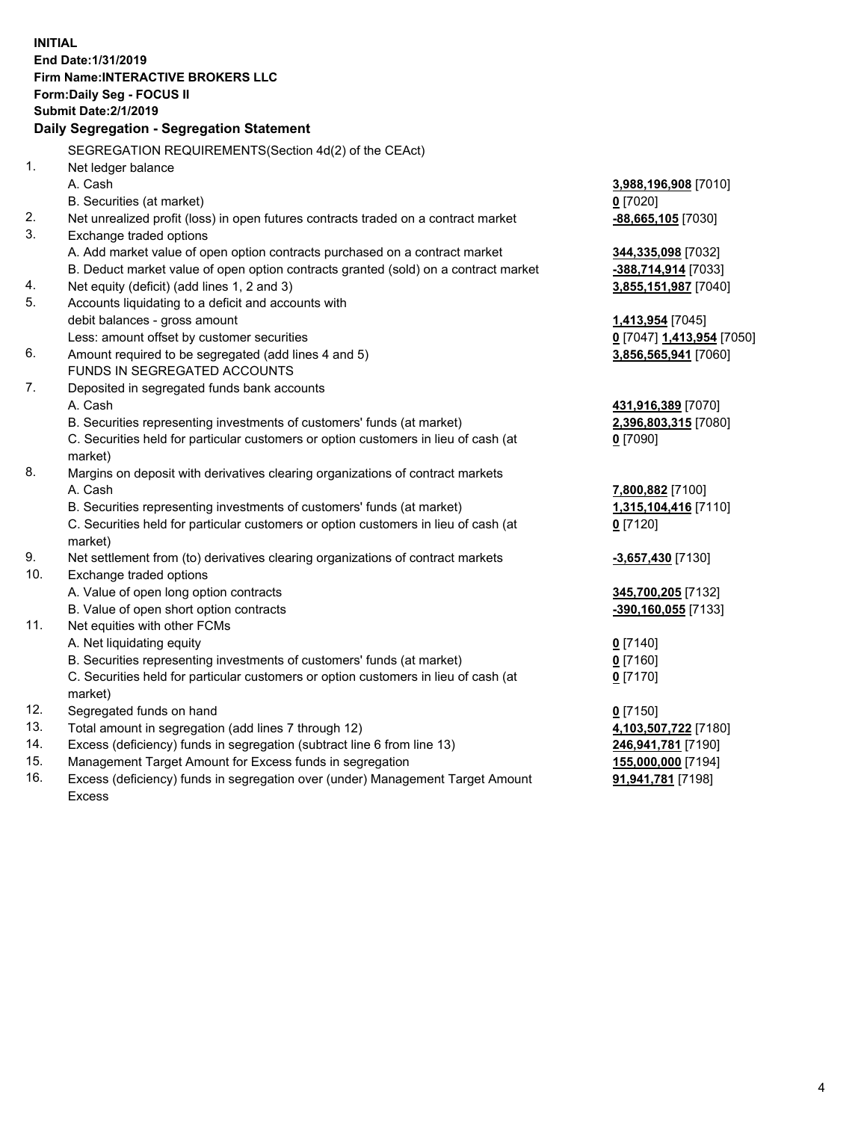**INITIAL End Date:1/31/2019 Firm Name:INTERACTIVE BROKERS LLC Form:Daily Seg - FOCUS II Submit Date:2/1/2019 Daily Segregation - Segregation Statement** SEGREGATION REQUIREMENTS(Section 4d(2) of the CEAct) 1. Net ledger balance A. Cash **3,988,196,908** [7010] B. Securities (at market) **0** [7020] 2. Net unrealized profit (loss) in open futures contracts traded on a contract market **-88,665,105** [7030] 3. Exchange traded options A. Add market value of open option contracts purchased on a contract market **344,335,098** [7032] B. Deduct market value of open option contracts granted (sold) on a contract market **-388,714,914** [7033] 4. Net equity (deficit) (add lines 1, 2 and 3) **3,855,151,987** [7040] 5. Accounts liquidating to a deficit and accounts with debit balances - gross amount **1,413,954** [7045] Less: amount offset by customer securities **0** [7047] **1,413,954** [7050] 6. Amount required to be segregated (add lines 4 and 5) **3,856,565,941** [7060] FUNDS IN SEGREGATED ACCOUNTS 7. Deposited in segregated funds bank accounts A. Cash **431,916,389** [7070] B. Securities representing investments of customers' funds (at market) **2,396,803,315** [7080] C. Securities held for particular customers or option customers in lieu of cash (at market) **0** [7090] 8. Margins on deposit with derivatives clearing organizations of contract markets A. Cash **7,800,882** [7100] B. Securities representing investments of customers' funds (at market) **1,315,104,416** [7110] C. Securities held for particular customers or option customers in lieu of cash (at market) **0** [7120] 9. Net settlement from (to) derivatives clearing organizations of contract markets **-3,657,430** [7130] 10. Exchange traded options A. Value of open long option contracts **345,700,205** [7132] B. Value of open short option contracts **-390,160,055** [7133] 11. Net equities with other FCMs A. Net liquidating equity **0** [7140] B. Securities representing investments of customers' funds (at market) **0** [7160] C. Securities held for particular customers or option customers in lieu of cash (at market) **0** [7170] 12. Segregated funds on hand **0** [7150] 13. Total amount in segregation (add lines 7 through 12) **4,103,507,722** [7180] 14. Excess (deficiency) funds in segregation (subtract line 6 from line 13) **246,941,781** [7190] 15. Management Target Amount for Excess funds in segregation **155,000,000** [7194] **91,941,781** [7198]

16. Excess (deficiency) funds in segregation over (under) Management Target Amount Excess